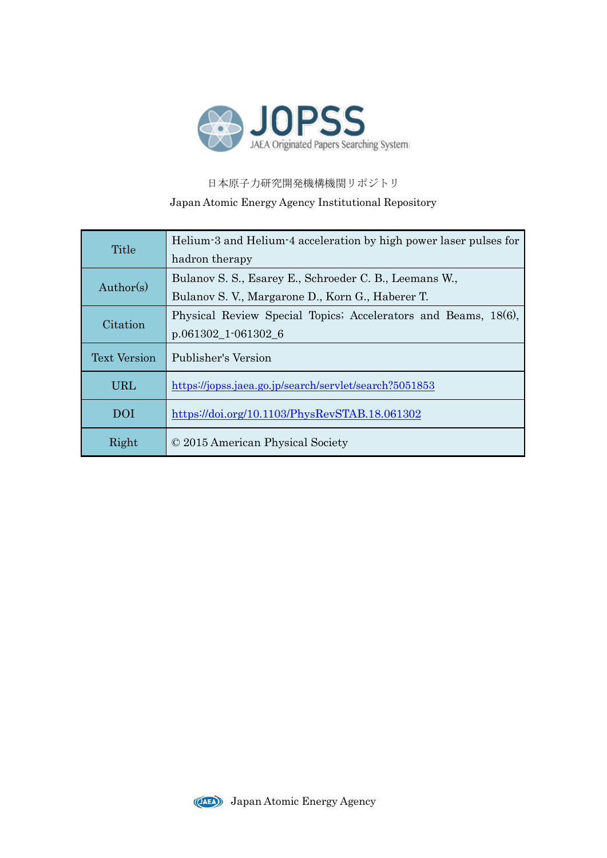

## 日本原子力研究開発機構機関リポジトリ Japan Atomic Energy Agency Institutional Repository

| Title               | Helium-3 and Helium-4 acceleration by high power laser pulses for |  |  |
|---------------------|-------------------------------------------------------------------|--|--|
|                     | hadron therapy                                                    |  |  |
| Author(s)           | Bulanov S. S., Esarey E., Schroeder C. B., Leemans W.,            |  |  |
|                     | Bulanov S. V., Margarone D., Korn G., Haberer T.                  |  |  |
| Citation            | Physical Review Special Topics; Accelerators and Beams, 18(6),    |  |  |
|                     | $p.061302\_1$ -061302_6                                           |  |  |
| <b>Text Version</b> | Publisher's Version                                               |  |  |
| <b>URL</b>          | https://jopss.jaea.go.jp/search/servlet/search?5051853            |  |  |
| <b>DOI</b>          | https://doi.org/10.1103/PhysRevSTAB.18.061302                     |  |  |
| Right               | © 2015 American Physical Society                                  |  |  |

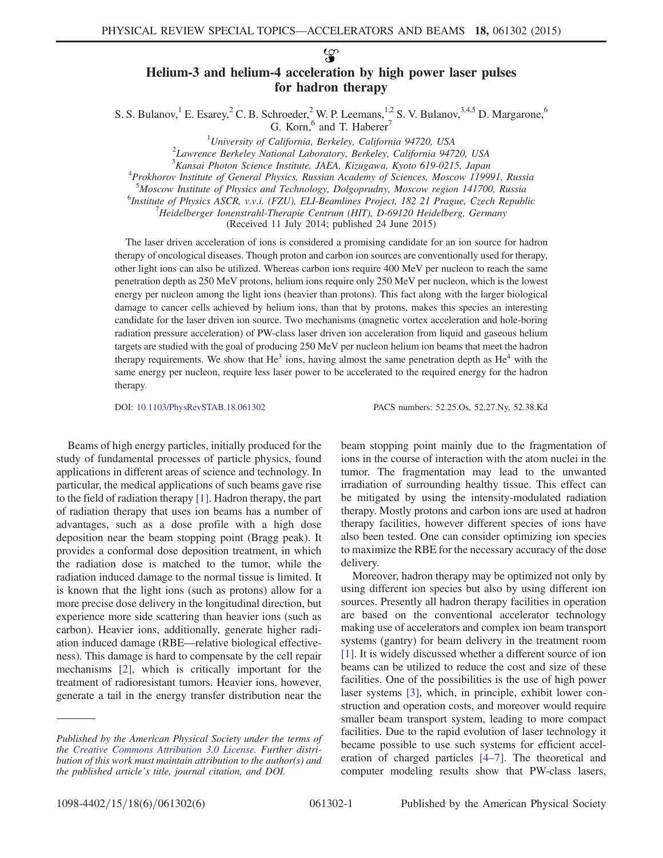$\mathcal{L}$ 

## Helium-3 and helium-4 acceleration by high power laser pulses for hadron therapy

S. S. Bulanov, <sup>1</sup> E. Esarey,  $2^{\circ}$  C. B. Schroeder,  $2^{\circ}$  W. P. Leemans,  $1,2$  S. V. Bulanov,  $3,4,5$  D. Margarone,  $6$ 

G. Korn, $6$  and T. Haberer<sup>7</sup>

<sup>1</sup>University of California, Berkeley, California 94720, USA<br><sup>2</sup>Laurence Berkeley National Laboratory, Berkeley, California 947

 $2$ Lawrence Berkeley National Laboratory, Berkeley, California 94720, USA

<sup>3</sup> Kansai Photon Science Institute, JAEA, Kizugawa, Kyoto 619-0215, Japan<br><sup>4</sup> Prakharay Institute of General Physics, Pussian Agadamy of Sciences, Massay, 1100

<sup>4</sup>Prokhorov Institute of General Physics, Russian Academy of Sciences, Moscow 119991, Russia

<sup>5</sup>Moscow Institute of Physics and Technology, Dolgoprudny, Moscow region 141700, Russia<br><sup>6</sup>Institute of Physics ASCP wyj (EZU) ELL Peamlines Project, 182, 21 Prague Czech Penuble

<sup>6</sup>Institute of Physics ASCR, v.v.i. (FZU), ELI-Beamlines Project, 182 21 Prague, Czech Republic

 $H$ eidelberger Ionenstrahl-Therapie Centrum (HIT), D-69120 Heidelberg, Germany

(Received 11 July 2014; published 24 June 2015)

The laser driven acceleration of ions is considered a promising candidate for an ion source for hadron therapy of oncological diseases. Though proton and carbon ion sources are conventionally used for therapy, other light ions can also be utilized. Whereas carbon ions require 400 MeV per nucleon to reach the same penetration depth as 250 MeV protons, helium ions require only 250 MeV per nucleon, which is the lowest energy per nucleon among the light ions (heavier than protons). This fact along with the larger biological damage to cancer cells achieved by helium ions, than that by protons, makes this species an interesting candidate for the laser driven ion source. Two mechanisms (magnetic vortex acceleration and hole-boring radiation pressure acceleration) of PW-class laser driven ion acceleration from liquid and gaseous helium targets are studied with the goal of producing 250 MeV per nucleon helium ion beams that meet the hadron therapy requirements. We show that  $He^3$  ions, having almost the same penetration depth as  $He^4$  with the same energy per nucleon, require less laser power to be accelerated to the required energy for the hadron therapy.

DOI: [10.1103/PhysRevSTAB.18.061302](http://dx.doi.org/10.1103/PhysRevSTAB.18.061302) PACS numbers: 52.25.Os, 52.27.Ny, 52.38.Kd

Beams of high energy particles, initially produced for the study of fundamental processes of particle physics, found applications in different areas of science and technology. In particular, the medical applications of such beams gave rise to the field of radiation therapy [\[1\].](#page-5-0) Hadron therapy, the part of radiation therapy that uses ion beams has a number of advantages, such as a dose profile with a high dose deposition near the beam stopping point (Bragg peak). It provides a conformal dose deposition treatment, in which the radiation dose is matched to the tumor, while the radiation induced damage to the normal tissue is limited. It is known that the light ions (such as protons) allow for a more precise dose delivery in the longitudinal direction, but experience more side scattering than heavier ions (such as carbon). Heavier ions, additionally, generate higher radiation induced damage (RBE—relative biological effectiveness). This damage is hard to compensate by the cell repair mechanisms [\[2\],](#page-5-1) which is critically important for the treatment of radioresistant tumors. Heavier ions, however, generate a tail in the energy transfer distribution near the

beam stopping point mainly due to the fragmentation of ions in the course of interaction with the atom nuclei in the tumor. The fragmentation may lead to the unwanted irradiation of surrounding healthy tissue. This effect can be mitigated by using the intensity-modulated radiation therapy. Mostly protons and carbon ions are used at hadron therapy facilities, however different species of ions have also been tested. One can consider optimizing ion species to maximize the RBE for the necessary accuracy of the dose delivery.

Moreover, hadron therapy may be optimized not only by using different ion species but also by using different ion sources. Presently all hadron therapy facilities in operation are based on the conventional accelerator technology making use of accelerators and complex ion beam transport systems (gantry) for beam delivery in the treatment room [\[1\]](#page-5-0). It is widely discussed whether a different source of ion beams can be utilized to reduce the cost and size of these facilities. One of the possibilities is the use of high power laser systems [\[3\]](#page-5-2), which, in principle, exhibit lower construction and operation costs, and moreover would require smaller beam transport system, leading to more compact facilities. Due to the rapid evolution of laser technology it became possible to use such systems for efficient acceleration of charged particles [\[4](#page-5-3)–7]. The theoretical and computer modeling results show that PW-class lasers,

Published by the American Physical Society under the terms of the [Creative Commons Attribution 3.0 License.](http://creativecommons.org/licenses/by/3.0/) Further distribution of this work must maintain attribution to the author(s) and the published article's title, journal citation, and DOI.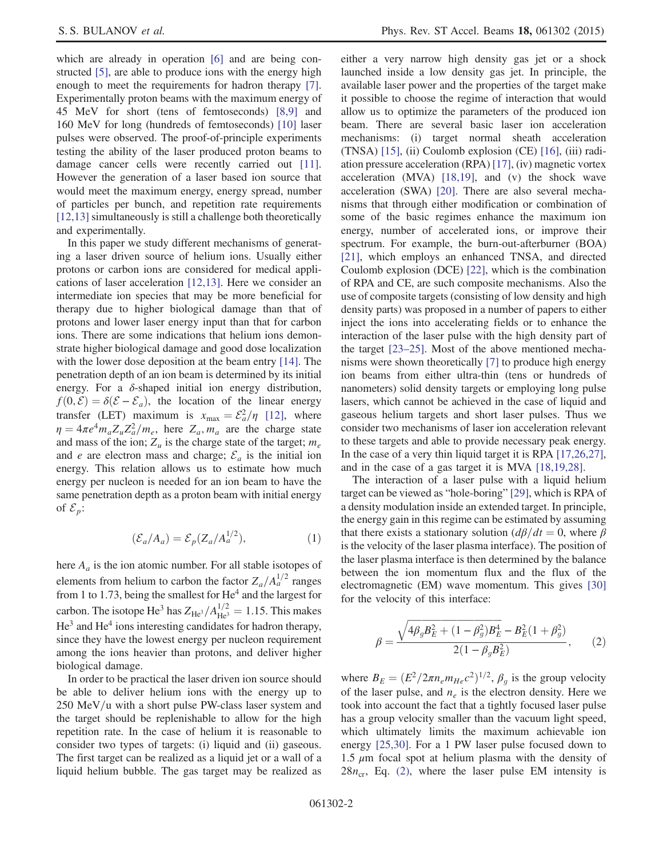which are already in operation [\[6\]](#page-5-4) and are being constructed [\[5\],](#page-5-5) are able to produce ions with the energy high enough to meet the requirements for hadron therapy [\[7\]](#page-5-6). Experimentally proton beams with the maximum energy of 45 MeV for short (tens of femtoseconds) [\[8,9\]](#page-5-7) and 160 MeV for long (hundreds of femtoseconds) [\[10\]](#page-5-8) laser pulses were observed. The proof-of-principle experiments testing the ability of the laser produced proton beams to damage cancer cells were recently carried out [\[11\]](#page-5-9). However the generation of a laser based ion source that would meet the maximum energy, energy spread, number of particles per bunch, and repetition rate requirements [\[12,13\]](#page-5-10) simultaneously is still a challenge both theoretically and experimentally.

In this paper we study different mechanisms of generating a laser driven source of helium ions. Usually either protons or carbon ions are considered for medical applications of laser acceleration [\[12,13\].](#page-5-10) Here we consider an intermediate ion species that may be more beneficial for therapy due to higher biological damage than that of protons and lower laser energy input than that for carbon ions. There are some indications that helium ions demonstrate higher biological damage and good dose localization with the lower dose deposition at the beam entry [\[14\]](#page-6-0). The penetration depth of an ion beam is determined by its initial energy. For a  $\delta$ -shaped initial ion energy distribution,  $f(0, \mathcal{E}) = \delta(\mathcal{E} - \mathcal{E}_a)$ , the location of the linear energy transfer (LET) maximum is  $x_{\text{max}} = \mathcal{E}_a^2/\eta$  [\[12\]](#page-5-10), where  $n = 4\pi e^4 m Z Z^2/m$  here Z m are the charge state  $\eta = 4\pi e^4 m_a Z_u Z_a^2 / m_e$ , here  $Z_a$ ,  $m_a$  are the charge state<br>and mass of the ion: Z is the charge state of the target: m and mass of the ion;  $Z_u$  is the charge state of the target;  $m_e$ and *e* are electron mass and charge;  $\mathcal{E}_a$  is the initial ion energy. This relation allows us to estimate how much energy per nucleon is needed for an ion beam to have the same penetration depth as a proton beam with initial energy of  $\mathcal{E}_p$ :

$$
(\mathcal{E}_a/A_a) = \mathcal{E}_p(Z_a/A_a^{1/2}),\tag{1}
$$

here  $A_a$  is the ion atomic number. For all stable isotopes of elements from helium to carbon the factor  $Z_a/A_a^{1/2}$  ranges from 1 to 1.73, being the smallest for  $He<sup>4</sup>$  and the largest for carbon. The isotope He<sup>3</sup> has  $Z_{\text{He}^3} / A_{\text{He}^3}^{1/2} = 1.15$ . This makes He<sup>3</sup> and He<sup>4</sup> ions interesting candidates for hadron therapy, since they have the lowest energy per nucleon requirement among the ions heavier than protons, and deliver higher biological damage.

In order to be practical the laser driven ion source should be able to deliver helium ions with the energy up to  $250$  MeV/u with a short pulse PW-class laser system and the target should be replenishable to allow for the high repetition rate. In the case of helium it is reasonable to consider two types of targets: (i) liquid and (ii) gaseous. The first target can be realized as a liquid jet or a wall of a liquid helium bubble. The gas target may be realized as either a very narrow high density gas jet or a shock launched inside a low density gas jet. In principle, the available laser power and the properties of the target make it possible to choose the regime of interaction that would allow us to optimize the parameters of the produced ion beam. There are several basic laser ion acceleration mechanisms: (i) target normal sheath acceleration (TNSA) [\[15\]](#page-6-1), (ii) Coulomb explosion (CE) [\[16\]](#page-6-2), (iii) radiation pressure acceleration (RPA) [\[17\]](#page-6-3), (iv) magnetic vortex acceleration (MVA) [\[18,19\]](#page-6-4), and (v) the shock wave acceleration (SWA) [\[20\]](#page-6-5). There are also several mechanisms that through either modification or combination of some of the basic regimes enhance the maximum ion energy, number of accelerated ions, or improve their spectrum. For example, the burn-out-afterburner (BOA) [\[21\]](#page-6-6), which employs an enhanced TNSA, and directed Coulomb explosion (DCE) [\[22\]](#page-6-7), which is the combination of RPA and CE, are such composite mechanisms. Also the use of composite targets (consisting of low density and high density parts) was proposed in a number of papers to either inject the ions into accelerating fields or to enhance the interaction of the laser pulse with the high density part of the target [23–[25\].](#page-6-8) Most of the above mentioned mechanisms were shown theoretically [\[7\]](#page-5-6) to produce high energy ion beams from either ultra-thin (tens or hundreds of nanometers) solid density targets or employing long pulse lasers, which cannot be achieved in the case of liquid and gaseous helium targets and short laser pulses. Thus we consider two mechanisms of laser ion acceleration relevant to these targets and able to provide necessary peak energy. In the case of a very thin liquid target it is RPA [\[17,26,27\]](#page-6-3), and in the case of a gas target it is MVA [\[18,19,28\]](#page-6-4).

The interaction of a laser pulse with a liquid helium target can be viewed as "hole-boring" [\[29\],](#page-6-9) which is RPA of a density modulation inside an extended target. In principle, the energy gain in this regime can be estimated by assuming that there exists a stationary solution  $\frac{d\beta}{dt} = 0$ , where  $\beta$ is the velocity of the laser plasma interface). The position of the laser plasma interface is then determined by the balance between the ion momentum flux and the flux of the electromagnetic (EM) wave momentum. This gives [\[30\]](#page-6-10) for the velocity of this interface:

<span id="page-2-0"></span>
$$
\beta = \frac{\sqrt{4\beta_g B_E^2 + (1 - \beta_g^2) B_E^4} - B_E^2 (1 + \beta_g^2)}{2(1 - \beta_g B_E^2)},
$$
\n(2)

where  $B_E = (E^2/2\pi n_e m_{He}c^2)^{1/2}$ ,  $\beta_g$  is the group velocity of the laser pulse, and  $n_e$  is the electron density. Here we took into account the fact that a tightly focused laser pulse has a group velocity smaller than the vacuum light speed, which ultimately limits the maximum achievable ion energy [\[25,30\]](#page-6-11). For a 1 PW laser pulse focused down to 1.5  $\mu$ m focal spot at helium plasma with the density of  $28n_{cr}$ , Eq. [\(2\)](#page-2-0), where the laser pulse EM intensity is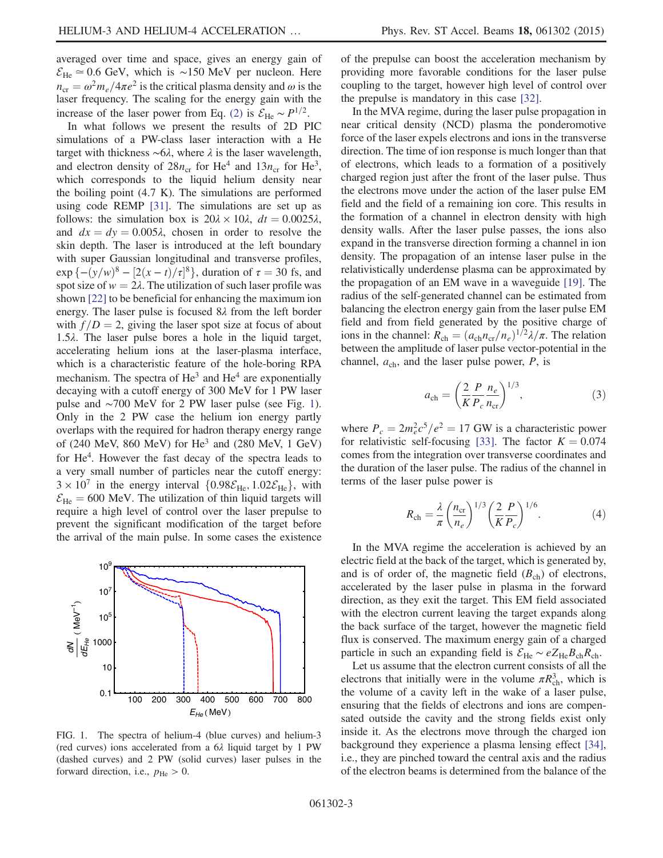averaged over time and space, gives an energy gain of  $\mathcal{E}_{\text{He}} \approx 0.6$  GeV, which is ~150 MeV per nucleon. Here  $n_{\rm cr} = \omega^2 m_e / 4\pi e^2$  is the critical plasma density and  $\omega$  is the laser frequency. The scaling for the energy gain with the increase of the laser power from Eq. [\(2\)](#page-2-0) is  $\mathcal{E}_{\text{He}} \sim P^{1/2}$ .

In what follows we present the results of 2D PIC simulations of a PW-class laser interaction with a He target with thickness  $\sim 6\lambda$ , where  $\lambda$  is the laser wavelength, and electron density of  $28n_{cr}$  for He<sup>4</sup> and  $13n_{cr}$  for He<sup>3</sup>, which corresponds to the liquid helium density near the boiling point (4.7 K). The simulations are performed using code REMP [\[31\].](#page-6-12) The simulations are set up as follows: the simulation box is  $20\lambda \times 10\lambda$ ,  $dt = 0.0025\lambda$ , and  $dx = dy = 0.005\lambda$ , chosen in order to resolve the skin depth. The laser is introduced at the left boundary with super Gaussian longitudinal and transverse profiles,  $\exp \left\{-(y/w)^8 - \left[2(x-t)/\tau\right] \right\}$ <br>spot size of w = 2 $\lambda$  The utility  $\binom{8}{3}$ , duration of  $\tau = 30$  fs, and<br>ization of such laser profile was spot size of  $w = 2\lambda$ . The utilization of such laser profile was shown [\[22\]](#page-6-7) to be beneficial for enhancing the maximum ion energy. The laser pulse is focused  $8\lambda$  from the left border with  $f/D = 2$ , giving the laser spot size at focus of about 1.5λ. The laser pulse bores a hole in the liquid target, accelerating helium ions at the laser-plasma interface, which is a characteristic feature of the hole-boring RPA mechanism. The spectra of  $He<sup>3</sup>$  and  $He<sup>4</sup>$  are exponentially decaying with a cutoff energy of 300 MeV for 1 PW laser pulse and ∼700 MeV for 2 PW laser pulse (see Fig. [1](#page-3-0)). Only in the 2 PW case the helium ion energy partly overlaps with the required for hadron therapy energy range of (240 MeV, 860 MeV) for  $He<sup>3</sup>$  and (280 MeV, 1 GeV) for He<sup>4</sup>. However the fast decay of the spectra leads to a very small number of particles near the cutoff energy:  $3 \times 10^7$  in the energy interval  $\{0.98 \mathcal{E}_{\text{He}} , 1.02 \mathcal{E}_{\text{He}} \}$ , with  $\mathcal{E}_{\text{He}} = 600 \text{ MeV}$ . The utilization of thin liquid targets will require a high level of control over the laser prepulse to prevent the significant modification of the target before the arrival of the main pulse. In some cases the existence

<span id="page-3-0"></span>

FIG. 1. The spectra of helium-4 (blue curves) and helium-3 (red curves) ions accelerated from a 6λ liquid target by 1 PW (dashed curves) and 2 PW (solid curves) laser pulses in the forward direction, i.e.,  $p_{\text{He}} > 0$ .

of the prepulse can boost the acceleration mechanism by providing more favorable conditions for the laser pulse coupling to the target, however high level of control over the prepulse is mandatory in this case [\[32\].](#page-6-13)

In the MVA regime, during the laser pulse propagation in near critical density (NCD) plasma the ponderomotive force of the laser expels electrons and ions in the transverse direction. The time of ion response is much longer than that of electrons, which leads to a formation of a positively charged region just after the front of the laser pulse. Thus the electrons move under the action of the laser pulse EM field and the field of a remaining ion core. This results in the formation of a channel in electron density with high density walls. After the laser pulse passes, the ions also expand in the transverse direction forming a channel in ion density. The propagation of an intense laser pulse in the relativistically underdense plasma can be approximated by the propagation of an EM wave in a waveguide [\[19\].](#page-6-14) The radius of the self-generated channel can be estimated from balancing the electron energy gain from the laser pulse EM field and from field generated by the positive charge of ions in the channel:  $R_{ch}=(a_{ch}n_{cr}/n_e)^{1/2}\lambda/\pi$ . The relation between the amplitude of laser pulse vector-potential in the channel,  $a_{ch}$ , and the laser pulse power,  $P$ , is

$$
a_{\rm ch} = \left(\frac{2}{K} \frac{P}{P_c} \frac{n_e}{n_{\rm cr}}\right)^{1/3},\tag{3}
$$

where  $P_c = 2m_e^2 c^5/e^2 = 17$  GW is a characteristic power<br>for relativistic self-focusing [33]. The factor  $K = 0.074$ for relativistic self-focusing [\[33\].](#page-6-15) The factor  $K = 0.074$ comes from the integration over transverse coordinates and the duration of the laser pulse. The radius of the channel in terms of the laser pulse power is

$$
R_{\rm ch} = \frac{\lambda}{\pi} \left( \frac{n_{\rm cr}}{n_e} \right)^{1/3} \left( \frac{2}{K} \frac{P}{P_c} \right)^{1/6}.
$$
 (4)

In the MVA regime the acceleration is achieved by an electric field at the back of the target, which is generated by, and is of order of, the magnetic field  $(B<sub>ch</sub>)$  of electrons, accelerated by the laser pulse in plasma in the forward direction, as they exit the target. This EM field associated with the electron current leaving the target expands along the back surface of the target, however the magnetic field flux is conserved. The maximum energy gain of a charged particle in such an expanding field is  $\mathcal{E}_{\text{He}} \sim eZ_{\text{He}}B_{\text{ch}}R_{\text{ch}}$ .

Let us assume that the electron current consists of all the electrons that initially were in the volume  $\pi R_{ch}^3$ , which is the volume of a cavity left in the wake of a laser pulse, ensuring that the fields of electrons and ions are compensated outside the cavity and the strong fields exist only inside it. As the electrons move through the charged ion background they experience a plasma lensing effect [\[34\]](#page-6-16), i.e., they are pinched toward the central axis and the radius of the electron beams is determined from the balance of the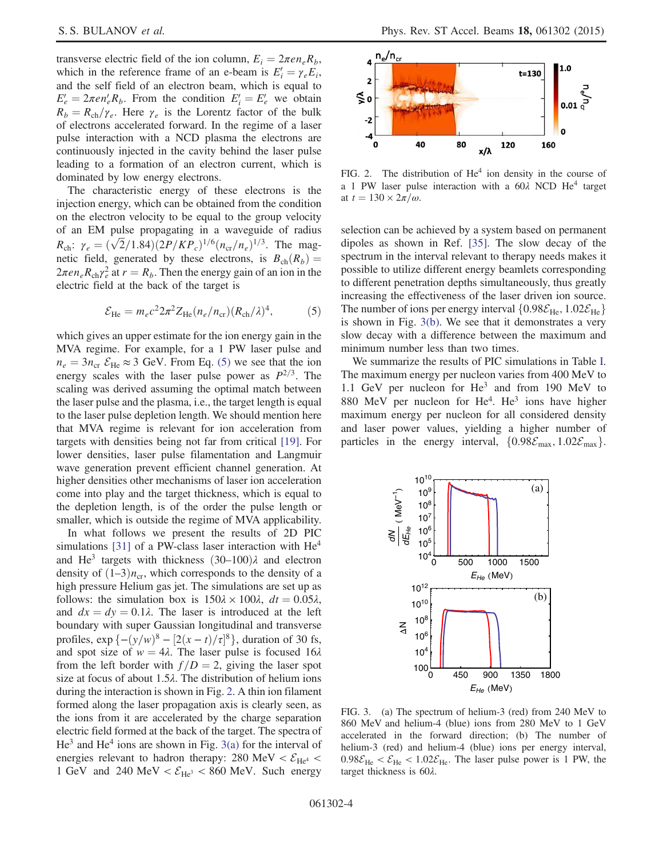transverse electric field of the ion column,  $E_i = 2\pi e n_e R_b$ , which in the reference frame of an e-beam is  $E'_i = \gamma_e E_i$ ,<br>and the self field of an electron beam, which is equal to and the self field of an electron beam, which is equal to  $E'_e = 2\pi e n'_e R_b$ . From the condition  $E'_i = E'_e$  we obtain  $R_i = R_i / \nu$ . Here  $\nu$  is the Lorentz factor of the bulk.  $R_b=R_{ch}/\gamma_e$ . Here  $\gamma_e$  is the Lorentz factor of the bulk of electrons accelerated forward. In the regime of a laser pulse interaction with a NCD plasma the electrons are continuously injected in the cavity behind the laser pulse leading to a formation of an electron current, which is dominated by low energy electrons.

The characteristic energy of these electrons is the injection energy, which can be obtained from the condition on the electron velocity to be equal to the group velocity of an EM pulse propagating in a waveguide of radius  $R_{ch}: \gamma_e = (\sqrt{2}/1.84)(2P/KP_c)^{1/6}(n_{cr}/n_e)^{1/3}$ . The mag-<br>netic field generated by these electrons is  $R_{ch}(R_c)$ netic field, generated by these electrons, is  $B_{ch}(R_b) =$  $2\pi en_e R_{ch} \gamma_e^2$  at  $r = R_b$ . Then the energy gain of an ion in the electric field at the back of the target is electric field at the back of the target is

$$
\mathcal{E}_{\text{He}} = m_e c^2 2\pi^2 Z_{\text{He}} (n_e / n_{\text{cr}}) (R_{\text{ch}} / \lambda)^4, \tag{5}
$$

<span id="page-4-0"></span>which gives an upper estimate for the ion energy gain in the MVA regime. For example, for a 1 PW laser pulse and  $n_e = 3n_{cr} \mathcal{E}_{He} \approx 3$  GeV. From Eq. [\(5\)](#page-4-0) we see that the ion energy scales with the laser pulse power as  $P^{2/3}$ . The scaling was derived assuming the optimal match between the laser pulse and the plasma, i.e., the target length is equal to the laser pulse depletion length. We should mention here that MVA regime is relevant for ion acceleration from targets with densities being not far from critical [\[19\]](#page-6-14). For lower densities, laser pulse filamentation and Langmuir wave generation prevent efficient channel generation. At higher densities other mechanisms of laser ion acceleration come into play and the target thickness, which is equal to the depletion length, is of the order the pulse length or smaller, which is outside the regime of MVA applicability.

In what follows we present the results of 2D PIC simulations [\[31\]](#page-6-12) of a PW-class laser interaction with  $He<sup>4</sup>$ and He<sup>3</sup> targets with thickness  $(30-100)\lambda$  and electron density of  $(1-3)n_{cr}$ , which corresponds to the density of a high pressure Helium gas jet. The simulations are set up as follows: the simulation box is  $150\lambda \times 100\lambda$ ,  $dt = 0.05\lambda$ , and  $dx = dy = 0.1\lambda$ . The laser is introduced at the left boundary with super Gaussian longitudinal and transverse profiles,  $\exp \left\{-(y/w)^8 - \left[2(x-t)/\tau\right]\right\}$ <br>and spot size of w − 4). The laser  $\binom{8}{3}$ , duration of 30 fs,<br>pulse is focused 162 and spot size of  $w = 4\lambda$ . The laser pulse is focused 16 $\lambda$ from the left border with  $f/D = 2$ , giving the laser spot size at focus of about 1.5λ. The distribution of helium ions during the interaction is shown in Fig. [2.](#page-4-1) A thin ion filament formed along the laser propagation axis is clearly seen, as the ions from it are accelerated by the charge separation electric field formed at the back of the target. The spectra of  $He<sup>3</sup>$  and  $He<sup>4</sup>$  ions are shown in Fig. [3\(a\)](#page-4-2) for the interval of energies relevant to hadron therapy: 280 MeV  $< \mathcal{E}_{He^4}$  < 1 GeV and 240 MeV <  $\mathcal{E}_{\text{He}^3}$  < 860 MeV. Such energy

<span id="page-4-1"></span>

FIG. 2. The distribution of  $He<sup>4</sup>$  ion density in the course of a 1 PW laser pulse interaction with a  $60\lambda$  NCD He<sup>4</sup> target at  $t = 130 \times 2\pi/\omega$ .

selection can be achieved by a system based on permanent dipoles as shown in Ref. [\[35\].](#page-6-17) The slow decay of the spectrum in the interval relevant to therapy needs makes it possible to utilize different energy beamlets corresponding to different penetration depths simultaneously, thus greatly increasing the effectiveness of the laser driven ion source. The number of ions per energy interval  $\{0.98\mathcal{E}_{\text{He}}, 1.02\mathcal{E}_{\text{He}}\}$ is shown in Fig. [3\(b\).](#page-4-2) We see that it demonstrates a very slow decay with a difference between the maximum and minimum number less than two times.

We summarize the results of PIC simulations in Table [I](#page-5-11). The maximum energy per nucleon varies from 400 MeV to 1.1 GeV per nucleon for He<sup>3</sup> and from 190 MeV to 880 MeV per nucleon for  $He^4$ .  $He^3$  ions have higher maximum energy per nucleon for all considered density and laser power values, yielding a higher number of particles in the energy interval,  $\{0.98\mathcal{E}_{\text{max}}, 1.02\mathcal{E}_{\text{max}}\}.$ 

<span id="page-4-2"></span>

FIG. 3. (a) The spectrum of helium-3 (red) from 240 MeV to 860 MeV and helium-4 (blue) ions from 280 MeV to 1 GeV accelerated in the forward direction; (b) The number of helium-3 (red) and helium-4 (blue) ions per energy interval,  $0.98\mathcal{E}_{\text{He}} < \mathcal{E}_{\text{He}} < 1.02\mathcal{E}_{\text{He}}$ . The laser pulse power is 1 PW, the target thickness is 60λ.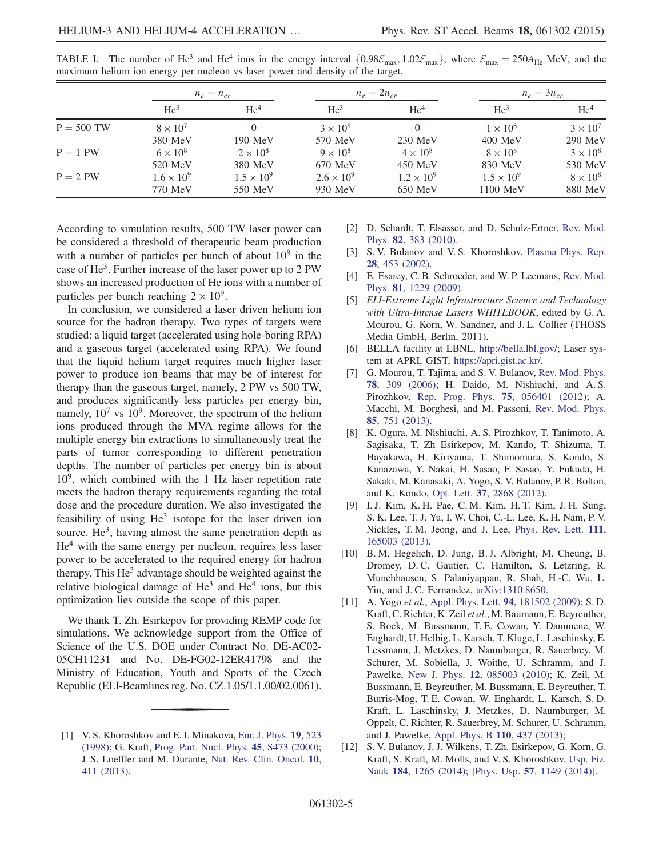|              | $n_e = n_{cr}$      |                     | $n_e = 2n_{cr}$     |                     | $n_e = 3n_{cr}$     |                 |
|--------------|---------------------|---------------------|---------------------|---------------------|---------------------|-----------------|
|              | He <sup>3</sup>     | He <sup>4</sup>     | He <sup>3</sup>     | He <sup>4</sup>     | He <sup>3</sup>     | He <sup>4</sup> |
| $P = 500$ TW | $8 \times 10^7$     |                     | $3 \times 10^8$     |                     | $1 \times 10^8$     | $3 \times 10^7$ |
|              | 380 MeV             | 190 MeV             | 570 MeV             | $230$ MeV           | $400$ MeV           | $290$ MeV       |
| $P = 1$ PW   | $6 \times 10^8$     | $2 \times 10^8$     | $9 \times 10^8$     | $4 \times 10^8$     | $8 \times 10^8$     | $3 \times 10^8$ |
|              | 520 MeV             | 380 MeV             | 670 MeV             | $450$ MeV           | 830 MeV             | 530 MeV         |
| $P = 2$ PW   | $1.6 \times 10^{9}$ | $1.5 \times 10^{9}$ | $2.6 \times 10^{9}$ | $1.2 \times 10^{9}$ | $1.5 \times 10^{9}$ | $8 \times 10^8$ |
|              | 770 MeV             | 550 MeV             | 930 MeV             | 650 MeV             | $1100$ MeV          | 880 MeV         |

<span id="page-5-11"></span>TABLE I. The number of He<sup>3</sup> and He<sup>4</sup> ions in the energy interval  $\{0.98\mathcal{E}_{\text{max}}$ ,  $1.02\mathcal{E}_{\text{max}}\}$ , where  $\mathcal{E}_{\text{max}} = 250A_{\text{He}}$  MeV, and the maximum helium ion energy per nucleon vs laser power and density of the target.

According to simulation results, 500 TW laser power can be considered a threshold of therapeutic beam production with a number of particles per bunch of about  $10^8$  in the case of He<sup>3</sup>. Further increase of the laser power up to 2 PW shows an increased production of He ions with a number of particles per bunch reaching  $2 \times 10^9$ .

In conclusion, we considered a laser driven helium ion source for the hadron therapy. Two types of targets were studied: a liquid target (accelerated using hole-boring RPA) and a gaseous target (accelerated using RPA). We found that the liquid helium target requires much higher laser power to produce ion beams that may be of interest for therapy than the gaseous target, namely, 2 PW vs 500 TW, and produces significantly less particles per energy bin, namely,  $10^7$  vs  $10^9$ . Moreover, the spectrum of the helium ions produced through the MVA regime allows for the multiple energy bin extractions to simultaneously treat the parts of tumor corresponding to different penetration depths. The number of particles per energy bin is about  $10<sup>9</sup>$ , which combined with the 1 Hz laser repetition rate meets the hadron therapy requirements regarding the total dose and the procedure duration. We also investigated the feasibility of using  $He<sup>3</sup>$  isotope for the laser driven ion source.  $He<sup>3</sup>$ , having almost the same penetration depth as  $He<sup>4</sup>$  with the same energy per nucleon, requires less laser power to be accelerated to the required energy for hadron therapy. This  $He<sup>3</sup>$  advantage should be weighted against the relative biological damage of  $He<sup>3</sup>$  and  $He<sup>4</sup>$  ions, but this optimization lies outside the scope of this paper.

We thank T. Zh. Esirkepov for providing REMP code for simulations. We acknowledge support from the Office of Science of the U.S. DOE under Contract No. DE-AC02- 05CH11231 and No. DE-FG02-12ER41798 and the Ministry of Education, Youth and Sports of the Czech Republic (ELI-Beamlines reg. No. CZ.1.05/1.1.00/02.0061).

- <span id="page-5-1"></span>[2] D. Schardt, T. Elsasser, and D. Schulz-Ertner, [Rev. Mod.](http://dx.doi.org/10.1103/RevModPhys.82.383) Phys. 82[, 383 \(2010\).](http://dx.doi.org/10.1103/RevModPhys.82.383)
- <span id="page-5-2"></span>[3] S. V. Bulanov and V. S. Khoroshkov, [Plasma Phys. Rep.](http://dx.doi.org/10.1134/1.1478534) 28[, 453 \(2002\).](http://dx.doi.org/10.1134/1.1478534)
- <span id="page-5-3"></span>[4] E. Esarey, C. B. Schroeder, and W. P. Leemans, [Rev. Mod.](http://dx.doi.org/10.1103/RevModPhys.81.1229) Phys. 81[, 1229 \(2009\).](http://dx.doi.org/10.1103/RevModPhys.81.1229)
- <span id="page-5-5"></span>[5] ELI-Extreme Light Infrastructure Science and Technology with Ultra-Intense Lasers WHITEBOOK, edited by G.A. Mourou, G. Korn, W. Sandner, and J. L. Collier (THOSS Media GmbH, Berlin, 2011).
- <span id="page-5-4"></span>[6] BELLA facility at LBNL, [http://bella.lbl.gov/;](http://bella.lbl.gov/) Laser system at APRI, GIST, <https://apri.gist.ac.kr/>.
- <span id="page-5-6"></span>[7] G. Mourou, T. Tajima, and S. V. Bulanov, [Rev. Mod. Phys.](http://dx.doi.org/10.1103/RevModPhys.78.309) 78[, 309 \(2006\);](http://dx.doi.org/10.1103/RevModPhys.78.309) H. Daido, M. Nishiuchi, and A. S. Pirozhkov, [Rep. Prog. Phys.](http://dx.doi.org/10.1088/0034-4885/75/5/056401) 75, 056401 (2012); A. Macchi, M. Borghesi, and M. Passoni, [Rev. Mod. Phys.](http://dx.doi.org/10.1103/RevModPhys.85.751) 85[, 751 \(2013\).](http://dx.doi.org/10.1103/RevModPhys.85.751)
- <span id="page-5-7"></span>[8] K. Ogura, M. Nishiuchi, A. S. Pirozhkov, T. Tanimoto, A. Sagisaka, T. Zh Esirkepov, M. Kando, T. Shizuma, T. Hayakawa, H. Kiriyama, T. Shimomura, S. Kondo, S. Kanazawa, Y. Nakai, H. Sasao, F. Sasao, Y. Fukuda, H. Sakaki, M. Kanasaki, A. Yogo, S. V. Bulanov, P. R. Bolton, and K. Kondo, Opt. Lett. 37[, 2868 \(2012\).](http://dx.doi.org/10.1364/OL.37.002868)
- [9] I. J. Kim, K. H. Pae, C. M. Kim, H. T. Kim, J. H. Sung, S. K. Lee, T. J. Yu, I. W. Choi, C.-L. Lee, K. H. Nam, P. V. Nickles, T. M. Jeong, and J. Lee, [Phys. Rev. Lett.](http://dx.doi.org/10.1103/PhysRevLett.111.165003) 111, [165003 \(2013\).](http://dx.doi.org/10.1103/PhysRevLett.111.165003)
- <span id="page-5-8"></span>[10] B. M. Hegelich, D. Jung, B. J. Albright, M. Cheung, B. Dromey, D. C. Gautier, C. Hamilton, S. Letzring, R. Munchhausen, S. Palaniyappan, R. Shah, H.-C. Wu, L. Yin, and J. C. Fernandez, [arXiv:1310.8650.](http://arXiv.org/abs/1310.8650)
- <span id="page-5-9"></span>[11] A. Yogo et al., [Appl. Phys. Lett.](http://dx.doi.org/10.1063/1.3126452) **94**, 181502 (2009); S. D. Kraft, C. Richter, K. Zeil et al., M. Baumann, E. Beyreuther, S. Bock, M. Bussmann, T. E. Cowan, Y. Dammene, W. Enghardt, U. Helbig, L. Karsch, T. Kluge, L. Laschinsky, E. Lessmann, J. Metzkes, D. Naumburger, R. Sauerbrey, M. Schurer, M. Sobiella, J. Woithe, U. Schramm, and J. Pawelke, New J. Phys. 12[, 085003 \(2010\);](http://dx.doi.org/10.1088/1367-2630/12/8/085003) K. Zeil, M. Bussmann, E. Beyreuther, M. Bussmann, E. Beyreuther, T. Burris-Mog, T. E. Cowan, W. Enghardt, L. Karsch, S. D. Kraft, L. Laschinsky, J. Metzkes, D. Naumburger, M. Oppelt, C. Richter, R. Sauerbrey, M. Schurer, U. Schramm, and J. Pawelke, [Appl. Phys. B](http://dx.doi.org/10.1007/s00340-012-5275-3) 110, 437 (2013);
- <span id="page-5-10"></span>[12] S. V. Bulanov, J. J. Wilkens, T. Zh. Esirkepov, G. Korn, G. Kraft, S. Kraft, M. Molls, and V. S. Khoroshkov, [Usp. Fiz.](http://dx.doi.org/10.3367/UFNr.0184.201412a.1265) Nauk 184[, 1265 \(2014\)](http://dx.doi.org/10.3367/UFNr.0184.201412a.1265); [Phys. Usp. 57[, 1149 \(2014\)\]](http://dx.doi.org/10.3367/UFNe.0184.201412a.1265).

<span id="page-5-0"></span><sup>[1]</sup> V. S. Khoroshkov and E. I. Minakova, [Eur. J. Phys.](http://dx.doi.org/10.1088/0143-0807/19/6/006) 19, 523 [\(1998\);](http://dx.doi.org/10.1088/0143-0807/19/6/006) G. Kraft, [Prog. Part. Nucl. Phys.](http://dx.doi.org/10.1016/S0146-6410(00)00112-5) 45, S473 (2000); J. S. Loeffler and M. Durante, [Nat. Rev. Clin. Oncol.](http://dx.doi.org/10.1038/nrclinonc.2013.79) 10, [411 \(2013\)](http://dx.doi.org/10.1038/nrclinonc.2013.79).